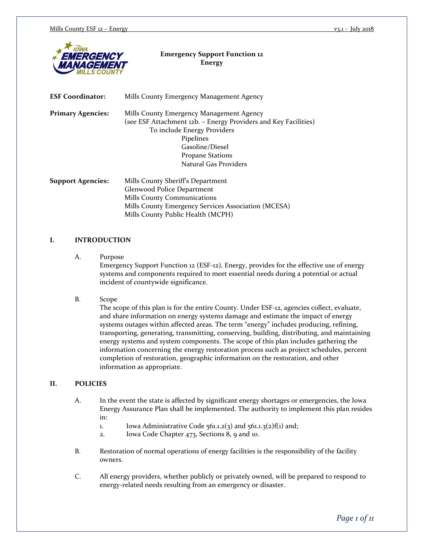

### **Emergency Support Function 12 Energy**

| <b>ESF Coordinator:</b>  | Mills County Emergency Management Agency                                                                    |  |  |
|--------------------------|-------------------------------------------------------------------------------------------------------------|--|--|
| <b>Primary Agencies:</b> | Mills County Emergency Management Agency<br>(see ESF Attachment 12b. – Energy Providers and Key Facilities) |  |  |
|                          |                                                                                                             |  |  |
|                          | To include Energy Providers                                                                                 |  |  |
|                          | Pipelines                                                                                                   |  |  |
|                          | Gasoline/Diesel                                                                                             |  |  |
|                          | <b>Propane Stations</b>                                                                                     |  |  |
|                          | Natural Gas Providers                                                                                       |  |  |
| <b>Support Agencies:</b> | Mills County Sheriff's Department                                                                           |  |  |
|                          | Glenwood Police Department                                                                                  |  |  |
|                          | Mills County Communications                                                                                 |  |  |

Mills County Emergency Services Association (MCESA) Mills County Public Health (MCPH)

## **I. INTRODUCTION**

A. Purpose

Emergency Support Function 12 (ESF-12), Energy, provides for the effective use of energy systems and components required to meet essential needs during a potential or actual incident of countywide significance.

#### B. Scope

The scope of this plan is for the entire County. Under ESF-12, agencies collect, evaluate, and share information on energy systems damage and estimate the impact of energy systems outages within affected areas. The term "energy" includes producing, refining, transporting, generating, transmitting, conserving, building, distributing, and maintaining energy systems and system components. The scope of this plan includes gathering the information concerning the energy restoration process such as project schedules, percent completion of restoration, geographic information on the restoration, and other information as appropriate.

#### **II. POLICIES**

- A. In the event the state is affected by significant energy shortages or emergencies, the Iowa Energy Assurance Plan shall be implemented. The authority to implement this plan resides in:
	- 1. Iowa Administrative Code 561.1.2(3) and 561.1.3(2)f(1) and;
	- 2. Iowa Code Chapter 473, Sections 8, 9 and 10.
- B. Restoration of normal operations of energy facilities is the responsibility of the facility owners.
- C. All energy providers, whether publicly or privately owned, will be prepared to respond to energy-related needs resulting from an emergency or disaster.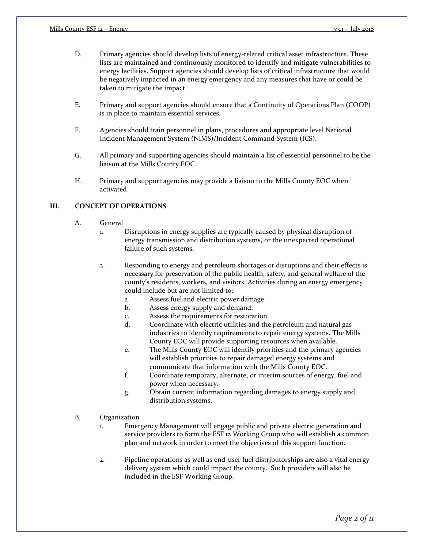- D. Primary agencies should develop lists of energy-related critical asset infrastructure. These lists are maintained and continuously monitored to identify and mitigate vulnerabilities to energy facilities. Support agencies should develop lists of critical infrastructure that would be negatively impacted in an energy emergency and any measures that have or could be taken to mitigate the impact.
- E. Primary and support agencies should ensure that a Continuity of Operations Plan (COOP) is in place to maintain essential services.
- F. Agencies should train personnel in plans, procedures and appropriate level National Incident Management System (NIMS)/Incident Command System (ICS).
- G. All primary and supporting agencies should maintain a list of essential personnel to be the liaison at the Mills County EOC.
- H. Primary and support agencies may provide a liaison to the Mills County EOC when activated.

## **III. CONCEPT OF OPERATIONS**

- A. General
	- 1. Disruptions in energy supplies are typically caused by physical disruption of energy transmission and distribution systems, or the unexpected operational failure of such systems.
	- 2. Responding to energy and petroleum shortages or disruptions and their effects is necessary for preservation of the public health, safety, and general welfare of the county's residents, workers, and visitors. Activities during an energy emergency could include but are not limited to:
		- a. Assess fuel and electric power damage.
		- b. Assess energy supply and demand.
		- c. Assess the requirements for restoration.
		- d. Coordinate with electric utilities and the petroleum and natural gas industries to identify requirements to repair energy systems. The Mills County EOC will provide supporting resources when available.
		- e. The Mills County EOC will identify priorities and the primary agencies will establish priorities to repair damaged energy systems and communicate that information with the Mills County EOC.
		- f. Coordinate temporary, alternate, or interim sources of energy, fuel and power when necessary.
		- g. Obtain current information regarding damages to energy supply and distribution systems.
- B. Organization
	- 1. Emergency Management will engage public and private electric generation and service providers to form the ESF 12 Working Group who will establish a common plan and network in order to meet the objectives of this support function.
	- 2. Pipeline operations as well as end-user fuel distributorships are also a vital energy delivery system which could impact the county. Such providers will also be included in the ESF Working Group.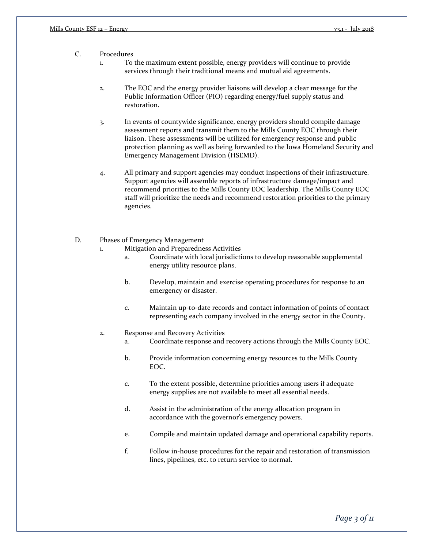#### C. Procedures

1. To the maximum extent possible, energy providers will continue to provide services through their traditional means and mutual aid agreements.

- 2. The EOC and the energy provider liaisons will develop a clear message for the Public Information Officer (PIO) regarding energy/fuel supply status and restoration.
- 3. In events of countywide significance, energy providers should compile damage assessment reports and transmit them to the Mills County EOC through their liaison. These assessments will be utilized for emergency response and public protection planning as well as being forwarded to the Iowa Homeland Security and Emergency Management Division (HSEMD).
- 4. All primary and support agencies may conduct inspections of their infrastructure. Support agencies will assemble reports of infrastructure damage/impact and recommend priorities to the Mills County EOC leadership. The Mills County EOC staff will prioritize the needs and recommend restoration priorities to the primary agencies.
- D. Phases of Emergency Management
	- 1. Mitigation and Preparedness Activities
		- a. Coordinate with local jurisdictions to develop reasonable supplemental energy utility resource plans.
		- b. Develop, maintain and exercise operating procedures for response to an emergency or disaster.
		- c. Maintain up-to-date records and contact information of points of contact representing each company involved in the energy sector in the County.

#### 2. Response and Recovery Activities

- a. Coordinate response and recovery actions through the Mills County EOC.
- b. Provide information concerning energy resources to the Mills County EOC.
- c. To the extent possible, determine priorities among users if adequate energy supplies are not available to meet all essential needs.
- d. Assist in the administration of the energy allocation program in accordance with the governor's emergency powers.
- e. Compile and maintain updated damage and operational capability reports.
- f. Follow in-house procedures for the repair and restoration of transmission lines, pipelines, etc. to return service to normal.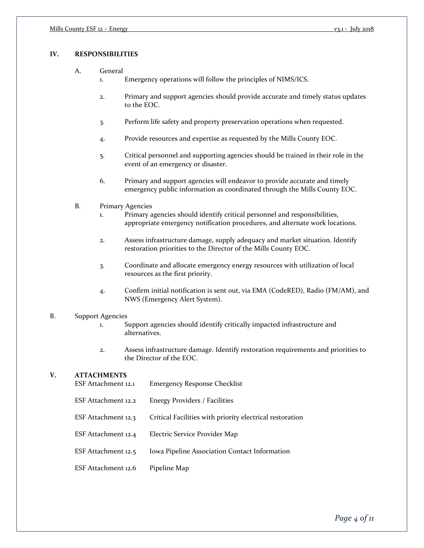## **IV. RESPONSIBILITIES**

- A. General
	- 1. Emergency operations will follow the principles of NIMS/ICS.
	- 2. Primary and support agencies should provide accurate and timely status updates to the EOC.
	- 3. Perform life safety and property preservation operations when requested.
	- 4. Provide resources and expertise as requested by the Mills County EOC.
	- 5. Critical personnel and supporting agencies should be trained in their role in the event of an emergency or disaster.
	- 6. Primary and support agencies will endeavor to provide accurate and timely emergency public information as coordinated through the Mills County EOC.
- B. Primary Agencies
	- 1. Primary agencies should identify critical personnel and responsibilities, appropriate emergency notification procedures, and alternate work locations.
	- 2. Assess infrastructure damage, supply adequacy and market situation. Identify restoration priorities to the Director of the Mills County EOC.
	- 3. Coordinate and allocate emergency energy resources with utilization of local resources as the first priority.
	- 4. Confirm initial notification is sent out, via EMA (CodeRED), Radio (FM/AM), and NWS (Emergency Alert System).

#### B. Support Agencies

- 1. Support agencies should identify critically impacted infrastructure and alternatives.
- 2. Assess infrastructure damage. Identify restoration requirements and priorities to the Director of the EOC.

#### **V. ATTACHMENTS**

| ESF Attachment 12.1 | <b>Emergency Response Checklist</b>                      |
|---------------------|----------------------------------------------------------|
| ESF Attachment 12.2 | Energy Providers / Facilities                            |
| ESF Attachment 12.3 | Critical Facilities with priority electrical restoration |
| ESF Attachment 12.4 | Electric Service Provider Map                            |
| ESF Attachment 12.5 | Iowa Pipeline Association Contact Information            |
| ESF Attachment 12.6 | Pipeline Map                                             |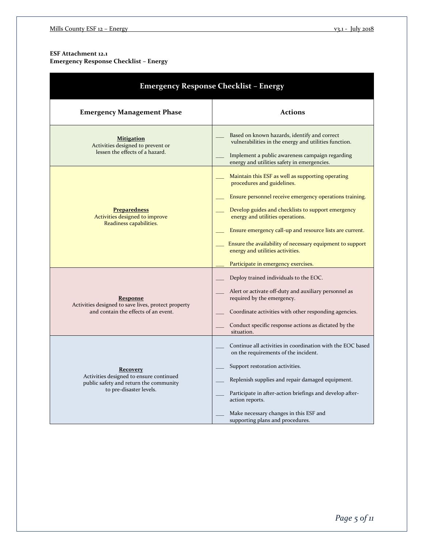### **ESF Attachment 12.1 Emergency Response Checklist – Energy**

| <b>Emergency Response Checklist - Energy</b>                                                                                    |                                                                                                                                                                                                                                                                                                                                                                                                                                          |  |  |  |
|---------------------------------------------------------------------------------------------------------------------------------|------------------------------------------------------------------------------------------------------------------------------------------------------------------------------------------------------------------------------------------------------------------------------------------------------------------------------------------------------------------------------------------------------------------------------------------|--|--|--|
| <b>Emergency Management Phase</b>                                                                                               | <b>Actions</b>                                                                                                                                                                                                                                                                                                                                                                                                                           |  |  |  |
| <b>Mitigation</b><br>Activities designed to prevent or<br>lessen the effects of a hazard.                                       | Based on known hazards, identify and correct<br>vulnerabilities in the energy and utilities function.<br>Implement a public awareness campaign regarding<br>energy and utilities safety in emergencies.                                                                                                                                                                                                                                  |  |  |  |
| <b>Preparedness</b><br>Activities designed to improve<br>Readiness capabilities.                                                | Maintain this ESF as well as supporting operating<br>procedures and guidelines.<br>Ensure personnel receive emergency operations training.<br>Develop guides and checklists to support emergency<br>energy and utilities operations.<br>Ensure emergency call-up and resource lists are current.<br>Ensure the availability of necessary equipment to support<br>energy and utilities activities.<br>Participate in emergency exercises. |  |  |  |
| <b>Response</b><br>Activities designed to save lives, protect property<br>and contain the effects of an event.                  | Deploy trained individuals to the EOC.<br>Alert or activate off-duty and auxiliary personnel as<br>required by the emergency.<br>Coordinate activities with other responding agencies.<br>Conduct specific response actions as dictated by the<br>situation.                                                                                                                                                                             |  |  |  |
| <b>Recovery</b><br>Activities designed to ensure continued<br>public safety and return the community<br>to pre-disaster levels. | Continue all activities in coordination with the EOC based<br>on the requirements of the incident.<br>Support restoration activities.<br>Replenish supplies and repair damaged equipment.<br>Participate in after-action briefings and develop after-<br>action reports.<br>Make necessary changes in this ESF and<br>supporting plans and procedures.                                                                                   |  |  |  |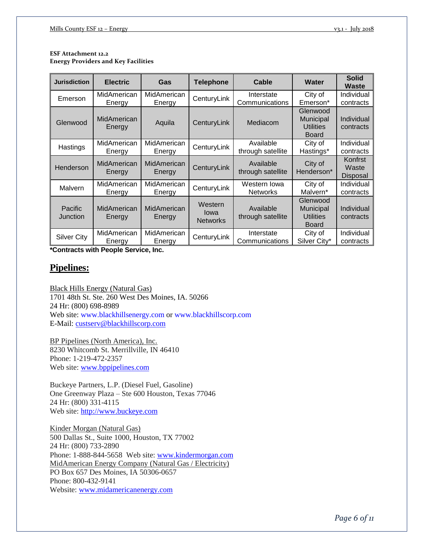#### **ESF Attachment 12.2 Energy Providers and Key Facilities**

| <b>Jurisdiction</b> | <b>Electric</b>              | Gas                   | <b>Telephone</b>                   | Cable                           | Water                                                     | <b>Solid</b><br>Waste        |
|---------------------|------------------------------|-----------------------|------------------------------------|---------------------------------|-----------------------------------------------------------|------------------------------|
| Emerson             | MidAmerican                  | MidAmerican           | CenturyLink                        | Interstate                      | City of                                                   | Individual                   |
|                     | Energy                       | Energy                |                                    | Communications                  | Emerson*                                                  | contracts                    |
| Glenwood            | <b>MidAmerican</b><br>Energy | Aquila                | CenturyLink                        | Mediacom                        | Glenwood<br>Municipal<br><b>Utilities</b><br><b>Board</b> | Individual<br>contracts      |
| Hastings            | MidAmerican<br>Energy        | MidAmerican<br>Energy | CenturyLink                        | Available<br>through satellite  | City of<br>Hastings*                                      | Individual<br>contracts      |
| Henderson           | MidAmerican<br>Energy        | MidAmerican<br>Energy | CenturyLink                        | Available<br>through satellite  | City of<br>Henderson*                                     | Konfrst<br>Waste<br>Disposal |
| Malvern             | MidAmerican<br>Energy        | MidAmerican<br>Energy | CenturyLink                        | Western Iowa<br><b>Networks</b> | City of<br>Malvern*                                       | Individual<br>contracts      |
| Pacific<br>Junction | MidAmerican<br>Energy        | MidAmerican<br>Energy | Western<br>lowa<br><b>Networks</b> | Available<br>through satellite  | Glenwood<br>Municipal<br><b>Utilities</b><br><b>Board</b> | Individual<br>contracts      |
| Silver City         | MidAmerican<br>Energy        | MidAmerican<br>Energy | CenturyLink                        | Interstate<br>Communications    | City of<br>Silver City*                                   | Individual<br>contracts      |

**\*Contracts with People Service, Inc.**

# **Pipelines:**

Black Hills Energy (Natural Gas) 1701 48th St. Ste. 260 West Des Moines, IA. 50266 24 Hr: (800) 698-8989 Web site: www.blackhillsenergy.com or www.blackhillscorp.com E-Mail: [custserv@blackhillscorp.com](mailto:custserv@blackhillscorp.com)

BP Pipelines (North America), Inc. 8230 Whitcomb St. Merrillville, IN 46410 Phone: 1-219-472-2357 Web site: [www.bppipelines.com](http://www.bppipelines.com/)

Buckeye Partners, L.P. (Diesel Fuel, Gasoline) One Greenway Plaza – Ste 600 Houston, Texas 77046 24 Hr: (800) 331-4115 Web site: [http://www.buckeye.com](http://www.buckeye.com/)

Kinder Morgan (Natural Gas) 500 Dallas St., Suite 1000, Houston, TX 77002 24 Hr: (800) 733-2890 Phone: 1-888-844-5658 Web site: [www.kindermorgan.com](http://www.kindermorgan.com/) MidAmerican Energy Company (Natural Gas / Electricity) PO Box 657 Des Moines, IA 50306-0657 Phone: 800-432-9141 Website: [www.midamericanenergy.com](http://www.midamericanenergy.com/)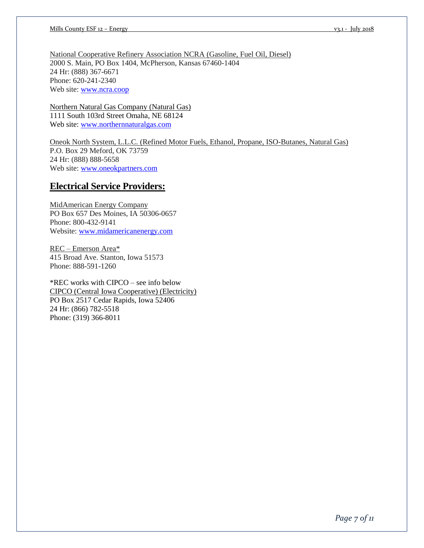National Cooperative Refinery Association NCRA (Gasoline, Fuel Oil, Diesel) 2000 S. Main, PO Box 1404, McPherson, Kansas 67460-1404 24 Hr: (888) 367-6671 Phone: 620-241-2340 Web site: [www.ncra.coop](http://www.ncra.coop/)

Northern Natural Gas Company (Natural Gas) 1111 South 103rd Street Omaha, NE 68124 Web site: [www.northernnaturalgas.com](http://www.northernnaturalgas.com/)

Oneok North System, L.L.C. (Refined Motor Fuels, Ethanol, Propane, ISO-Butanes, Natural Gas) P.O. Box 29 Meford, OK 73759 24 Hr: (888) 888-5658 Web site: [www.oneokpartners.com](http://www.oneokpartners.com/)

# **Electrical Service Providers:**

MidAmerican Energy Company PO Box 657 Des Moines, IA 50306-0657 Phone: 800-432-9141 Website: [www.midamericanenergy.com](http://www.midamericanenergy.com/)

REC – Emerson Area\* 415 Broad Ave. Stanton, Iowa 51573 Phone: 888-591-1260

\*REC works with CIPCO – see info below CIPCO (Central Iowa Cooperative) (Electricity) PO Box 2517 Cedar Rapids, Iowa 52406 24 Hr: (866) 782-5518 Phone: (319) 366-8011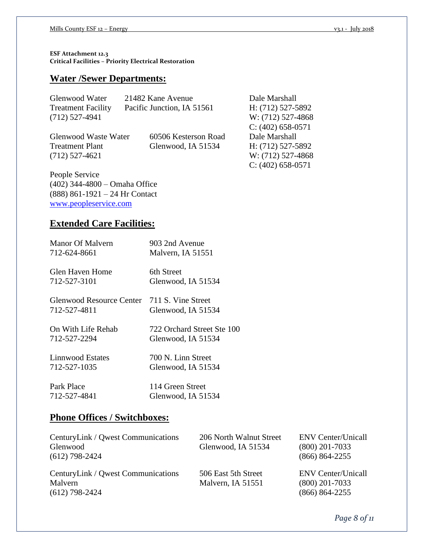**ESF Attachment 12.3 Critical Facilities – Priority Electrical Restoration**

# **Water /Sewer Departments:**

| Glenwood Water            | 21482 Kane Avenue          | Dale Marshall       |
|---------------------------|----------------------------|---------------------|
| <b>Treatment Facility</b> | Pacific Junction, IA 51561 | H: (712) 527-5892   |
| $(712)$ 527-4941          |                            | W: (712) 527-4868   |
|                           |                            | $C: (402)$ 658-0571 |
| Glenwood Waste Water      | 60506 Kesterson Road       | Dale Marshall       |
| <b>Treatment Plant</b>    | Glenwood, IA 51534         | H: $(712)$ 527-5892 |
| $(712)$ 527-4621          |                            | W: (712) 527-4868   |
|                           |                            | $C: (402)$ 658-0571 |

People Service (402) 344-4800 – Omaha Office (888) 861-1921 – 24 Hr Contact [www.peopleservice.com](http://www.peopleservice.com/)

# **Extended Care Facilities:**

| Manor Of Malvern                                            | 903 2nd Avenue             |
|-------------------------------------------------------------|----------------------------|
| 712-624-8661                                                | Malvern, IA 51551          |
| Glen Haven Home                                             | 6th Street                 |
| 712-527-3101                                                | Glenwood, IA 51534         |
| Glenwood Resource Center 711 S. Vine Street<br>712-527-4811 | Glenwood, IA 51534         |
| On With Life Rehab                                          | 722 Orchard Street Ste 100 |
| 712-527-2294                                                | Glenwood, IA 51534         |
| Linnwood Estates                                            | 700 N. Linn Street         |
| 712-527-1035                                                | Glenwood, IA 51534         |
| Park Place                                                  | 114 Green Street           |
| 712-527-4841                                                | Glenwood, IA 51534         |

# **Phone Offices / Switchboxes:**

| CenturyLink / Qwest Communications<br>Glenwood<br>$(612)$ 798-2424 | 206 North Walnut Street<br>Glenwood, IA 51534 | <b>ENV</b> Center/Unicall<br>$(800)$ 201-7033<br>$(866) 864 - 2255$ |
|--------------------------------------------------------------------|-----------------------------------------------|---------------------------------------------------------------------|
| CenturyLink / Qwest Communications<br>Malvern<br>$(612)$ 798-2424  | 506 East 5th Street<br>Malvern, IA 51551      | <b>ENV</b> Center/Unicall<br>$(800)$ 201-7033<br>$(866) 864 - 2255$ |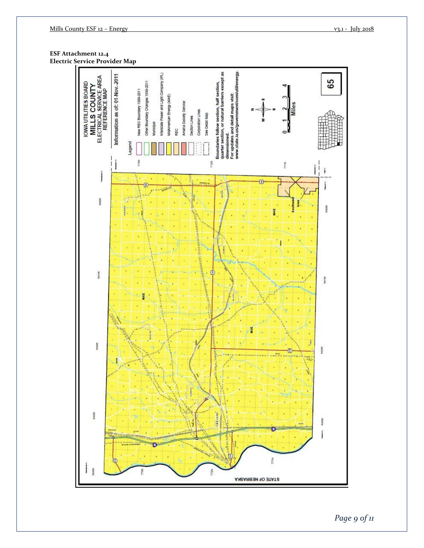**ESF Attachment 12.4 Electric Service Provider Map**



*Page 9 of 11*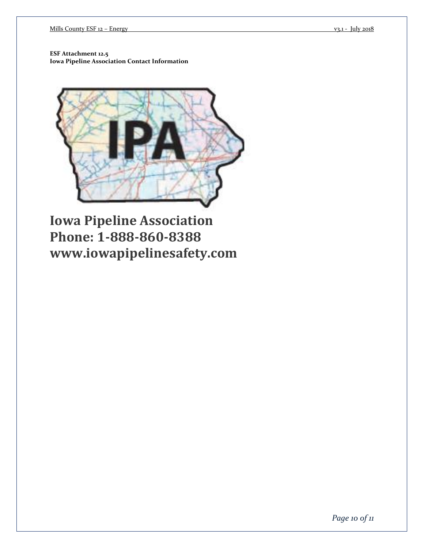**ESF Attachment 12.5 Iowa Pipeline Association Contact Information**



**Iowa Pipeline Association Phone: 1-888-860-8388 www.iowapipelinesafety.com**